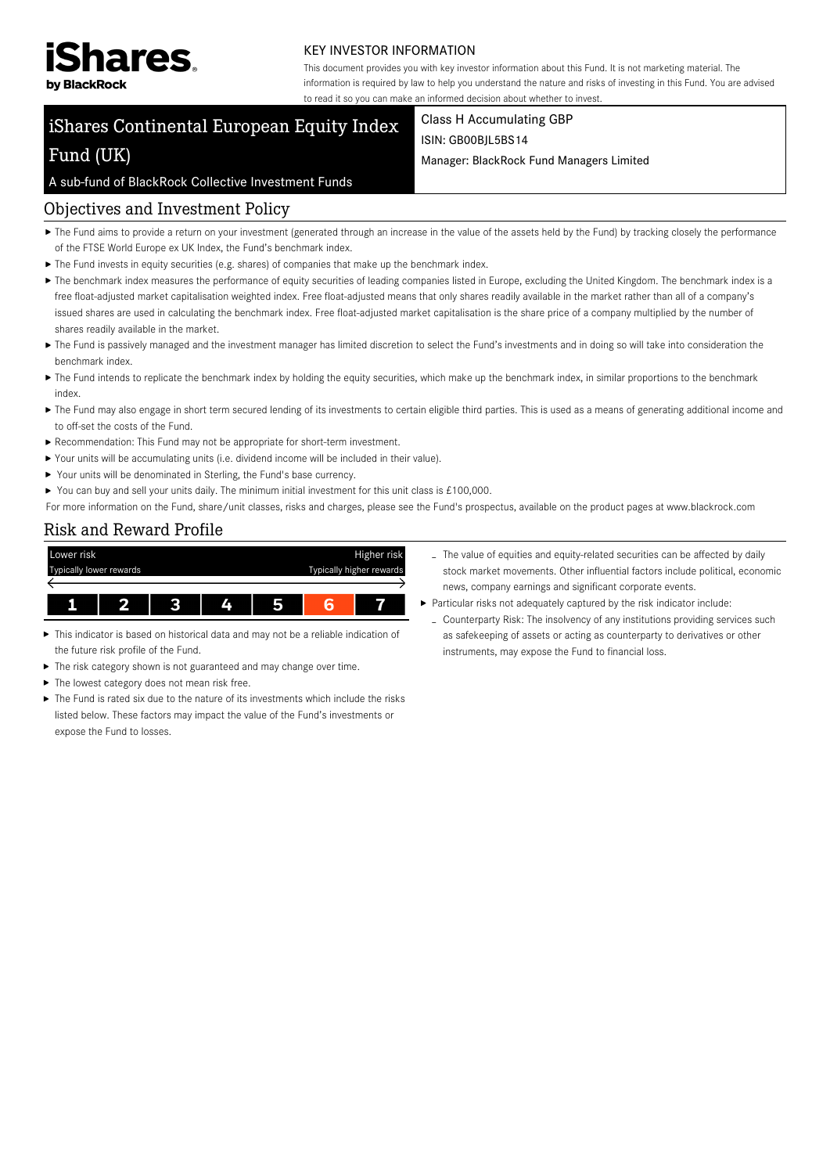

#### KEY INVESTOR INFORMATION

This document provides you with key investor information about this Fund. It is not marketing material. The information is required by law to help you understand the nature and risks of investing in this Fund. You are advised to read it so you can make an informed decision about whether to invest.

# iShares Continental European Equity Index Fund (UK)

### Class H Accumulating GBP ISIN: GB00BJL5BS14

Manager: BlackRock Fund Managers Limited

# A sub-fund of BlackRock Collective Investment Funds

# Objectives and Investment Policy

- ▶ The Fund aims to provide a return on your investment (generated through an increase in the value of the assets held by the Fund) by tracking closely the performance of the FTSE World Europe ex UK Index, the Fund's benchmark index.
- $\blacktriangleright$  The Fund invests in equity securities (e.g. shares) of companies that make up the benchmark index.
- ▶ The benchmark index measures the performance of equity securities of leading companies listed in Europe, excluding the United Kingdom. The benchmark index is a free float-adjusted market capitalisation weighted index. Free float-adjusted means that only shares readily available in the market rather than all of a company's issued shares are used in calculating the benchmark index. Free float-adjusted market capitalisation is the share price of a company multiplied by the number of shares readily available in the market.
- ▶ The Fund is passively managed and the investment manager has limited discretion to select the Fund's investments and in doing so will take into consideration the benchmark index.
- The Fund intends to replicate the benchmark index by holding the equity securities, which make up the benchmark index, in similar proportions to the benchmark index.
- ▶ The Fund may also engage in short term secured lending of its investments to certain eligible third parties. This is used as a means of generating additional income and to off-set the costs of the Fund.
- Recommendation: This Fund may not be appropriate for short-term investment.
- Your units will be accumulating units (i.e. dividend income will be included in their value).
- ▶ Your units will be denominated in Sterling, the Fund's base currency.
- You can buy and sell your units daily. The minimum initial investment for this unit class is  $£100,000$ .
- For more information on the Fund, share/unit classes, risks and charges, please see the Fund's prospectus, available on the product pages at www.blackrock.com

# Risk and Reward Profile

| Lower risk |                         |    |  | Higher risk              |
|------------|-------------------------|----|--|--------------------------|
|            | Typically lower rewards |    |  | Typically higher rewards |
|            |                         |    |  |                          |
|            |                         | Z. |  |                          |

- This indicator is based on historical data and may not be a reliable indication of the future risk profile of the Fund.
- ▶ The risk category shown is not guaranteed and may change over time.
- $\blacktriangleright$  The lowest category does not mean risk free.
- ▶ The Fund is rated six due to the nature of its investments which include the risks listed below. These factors may impact the value of the Fund's investments or expose the Fund to losses.
- The value of equities and equity-related securities can be affected by daily stock market movements. Other influential factors include political, economic news, company earnings and significant corporate events.
- $\blacktriangleright$  Particular risks not adequately captured by the risk indicator include:
	- Counterparty Risk: The insolvency of any institutions providing services such as safekeeping of assets or acting as counterparty to derivatives or other instruments, may expose the Fund to financial loss.